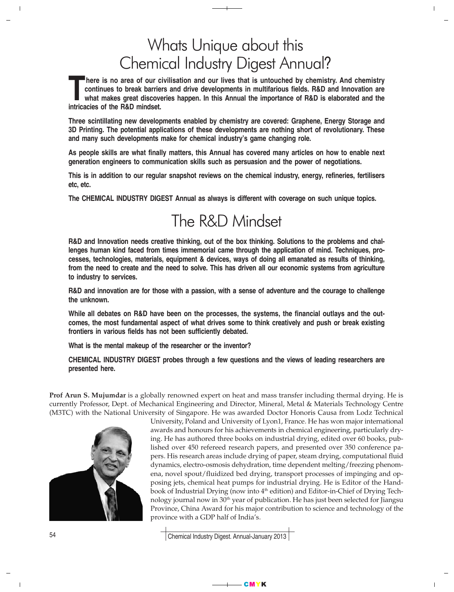## Whats Unique about this Chemical Industry Digest Annual?

**There is no area of our civilisation and our lives that is untouched by chemistry. And chemistry continues to break barriers and drive developments in multifarious fields. R&D and Innovation are what makes great discoveries happen. In this Annual the importance of R&D is elaborated and the intricacies of the R&D mindset.**

**Three scintillating new developments enabled by chemistry are covered: Graphene, Energy Storage and 3D Printing. The potential applications of these developments are nothing short of revolutionary. These and many such developments make for chemical industry's game changing role.**

**As people skills are what finally matters, this Annual has covered many articles on how to enable next generation engineers to communication skills such as persuasion and the power of negotiations.**

**This is in addition to our regular snapshot reviews on the chemical industry, energy, refineries, fertilisers etc, etc.**

**The CHEMICAL INDUSTRY DIGEST Annual as always is different with coverage on such unique topics.**

# The R&D Mindset

**R&D and Innovation needs creative thinking, out of the box thinking. Solutions to the problems and challenges human kind faced from times immemorial came through the application of mind. Techniques, processes, technologies, materials, equipment & devices, ways of doing all emanated as results of thinking, from the need to create and the need to solve. This has driven all our economic systems from agriculture to industry to services.**

**R&D and innovation are for those with a passion, with a sense of adventure and the courage to challenge the unknown.**

**While all debates on R&D have been on the processes, the systems, the financial outlays and the outcomes, the most fundamental aspect of what drives some to think creatively and push or break existing frontiers in various fields has not been sufficiently debated.**

**What is the mental makeup of the researcher or the inventor?**

**CHEMICAL INDUSTRY DIGEST probes through a few questions and the views of leading researchers are presented here.**

Prof Arun S. Mujumdar is a globally renowned expert on heat and mass transfer including thermal drying. He is currently Professor, Dept. of Mechanical Engineering and Director, Mineral, Metal & Materials Technology Centre (M3TC) with the National University of Singapore. He was awarded Doctor Honoris Causa from Lodz Technical



University, Poland and University of Lyon1, France. He has won major international awards and honours for his achievements in chemical engineering, particularly drying. He has authored three books on industrial drying, edited over 60 books, published over 450 refereed research papers, and presented over 350 conference papers. His research areas include drying of paper, steam drying, computational fluid dynamics, electro-osmosis dehydration, time dependent melting/freezing phenomena, novel spout/fluidized bed drying, transport processes of impinging and opposing jets, chemical heat pumps for industrial drying. He is Editor of the Handbook of Industrial Drying (now into  $4<sup>th</sup>$  edition) and Editor-in-Chief of Drying Technology journal now in 30<sup>th</sup> year of publication. He has just been selected for Jiangsu Province, China Award for his major contribution to science and technology of the province with a GDP half of India's.

 $\mathbf{I}$ 

Chemical Industry Digest. Annual-January 2013

CMYK

54

 $\overline{\phantom{a}}$ 

 $\overline{1}$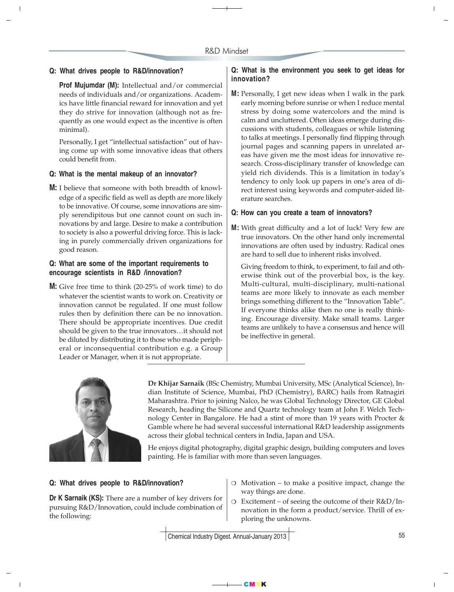### **Q: What drives people to R&D/innovation?**

**Prof Mujumdar (M):** Intellectual and/or commercial needs of individuals and/or organizations. Academics have little financial reward for innovation and yet they do strive for innovation (although not as frequently as one would expect as the incentive is often minimal).

Personally, I get "intellectual satisfaction" out of having come up with some innovative ideas that others could benefit from.

#### **Q: What is the mental makeup of an innovator?**

**M:** I believe that someone with both breadth of knowledge of a specific field as well as depth are more likely to be innovative. Of course, some innovations are simply serendipitous but one cannot count on such innovations by and large. Desire to make a contribution to society is also a powerful driving force. This is lacking in purely commercially driven organizations for good reason.

## **Q: What are some of the important requirements to encourage scientists in R&D /innovation?**

**M:** Give free time to think (20-25% of work time) to do whatever the scientist wants to work on. Creativity or innovation cannot be regulated. If one must follow rules then by definition there can be no innovation. There should be appropriate incentives. Due credit should be given to the true innovators…it should not be diluted by distributing it to those who made peripheral or inconsequential contribution e.g. a Group Leader or Manager, when it is not appropriate.

## **Q: What is the environment you seek to get ideas for innovation?**

**M:** Personally, I get new ideas when I walk in the park early morning before sunrise or when I reduce mental stress by doing some watercolors and the mind is calm and uncluttered. Often ideas emerge during discussions with students, colleagues or while listening to talks at meetings. I personally find flipping through journal pages and scanning papers in unrelated areas have given me the most ideas for innovative research. Cross-disciplinary transfer of knowledge can yield rich dividends. This is a limitation in today's tendency to only look up papers in one's area of direct interest using keywords and computer-aided literature searches.

#### **Q: How can you create a team of innovators?**

**M:** With great difficulty and a lot of luck! Very few are true innovators. On the other hand only incremental innovations are often used by industry. Radical ones are hard to sell due to inherent risks involved.

Giving freedom to think, to experiment, to fail and otherwise think out of the proverbial box, is the key. Multi-cultural, multi-disciplinary, multi-national teams are more likely to innovate as each member brings something different to the "Innovation Table". If everyone thinks alike then no one is really thinking. Encourage diversity. Make small teams. Larger teams are unlikely to have a consensus and hence will be ineffective in general.



Dr Khijar Sarnaik (BSc Chemistry, Mumbai University, MSc (Analytical Science), Indian Institute of Science, Mumbai, PhD (Chemistry), BARC) hails from Ratnagiri Maharashtra. Prior to joining Nalco, he was Global Technology Director, GE Global Research, heading the Silicone and Quartz technology team at John F. Welch Technology Center in Bangalore. He had a stint of more than 19 years with Procter & Gamble where he had several successful international R&D leadership assignments across their global technical centers in India, Japan and USA.

He enjoys digital photography, digital graphic design, building computers and loves painting. He is familiar with more than seven languages.

#### **Q: What drives people to R&D/innovation?**

**Dr K Sarnaik (KS):** There are a number of key drivers for pursuing R&D/Innovation, could include combination of the following:

- ❍ Motivation to make a positive impact, change the way things are done.
- ❍ Excitement of seeing the outcome of their R&D/Innovation in the form a product/service. Thrill of exploring the unknowns.

Chemical Industry Digest. Annual-January 2013

CMYK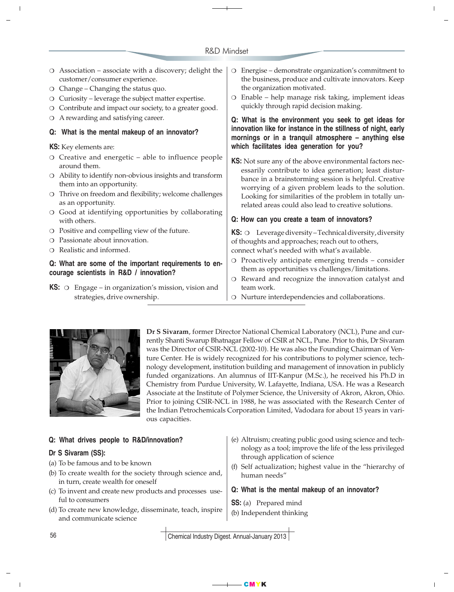## R&D Mindset

 $\overline{1}$ 

 $\mathbf{I}$ 

| $\circ$ Association – associate with a discovery; delight the<br>customer/consumer experience.<br>$\circ$ Change – Changing the status quo.<br>O Curiosity - leverage the subject matter expertise.<br>O Contribute and impact our society, to a greater good.<br>O A rewarding and satisfying career.<br>Q: What is the mental makeup of an innovator? |  | Energise - demonstrate organization's commitment to<br>$\circ$<br>the business, produce and cultivate innovators. Keep<br>the organization motivated.<br>Enable – help manage risk taking, implement ideas<br>$\circ$<br>quickly through rapid decision making. |
|---------------------------------------------------------------------------------------------------------------------------------------------------------------------------------------------------------------------------------------------------------------------------------------------------------------------------------------------------------|--|-----------------------------------------------------------------------------------------------------------------------------------------------------------------------------------------------------------------------------------------------------------------|
|                                                                                                                                                                                                                                                                                                                                                         |  | Q: What is the environment you seek to get ideas for<br>innovation like for instance in the stillness of night, early<br>mornings or in a tranquil atmosphere - anything else                                                                                   |
|                                                                                                                                                                                                                                                                                                                                                         |  |                                                                                                                                                                                                                                                                 |
| $\circ$ Creative and energetic – able to influence people<br>around them.                                                                                                                                                                                                                                                                               |  | KS: Not sure any of the above environmental factors nec-                                                                                                                                                                                                        |
| Ability to identify non-obvious insights and transform<br>them into an opportunity.                                                                                                                                                                                                                                                                     |  | essarily contribute to idea generation; least distur-<br>bance in a brainstorming session is helpful. Creative<br>worrying of a given problem leads to the solution.                                                                                            |
| O Thrive on freedom and flexibility; welcome challenges<br>as an opportunity.                                                                                                                                                                                                                                                                           |  | Looking for similarities of the problem in totally un-<br>related areas could also lead to creative solutions.                                                                                                                                                  |
| O Good at identifying opportunities by collaborating<br>with others.                                                                                                                                                                                                                                                                                    |  | Q: How can you create a team of innovators?                                                                                                                                                                                                                     |
| O Positive and compelling view of the future.                                                                                                                                                                                                                                                                                                           |  | <b>KS:</b> $\circ$ Leverage diversity – Technical diversity, diversity                                                                                                                                                                                          |
| O Passionate about innovation.                                                                                                                                                                                                                                                                                                                          |  | of thoughts and approaches; reach out to others,                                                                                                                                                                                                                |
| O Realistic and informed.                                                                                                                                                                                                                                                                                                                               |  | connect what's needed with what's available.                                                                                                                                                                                                                    |
| Q: What are some of the important requirements to en-<br>courage scientists in R&D / innovation?                                                                                                                                                                                                                                                        |  | O Proactively anticipate emerging trends - consider<br>them as opportunities vs challenges/limitations.<br>O Reward and recognize the innovation catalyst and                                                                                                   |
| $KS:$ $\circ$<br>Engage – in organization's mission, vision and                                                                                                                                                                                                                                                                                         |  | team work.                                                                                                                                                                                                                                                      |
| strategies, drive ownership.                                                                                                                                                                                                                                                                                                                            |  | O Nurture interdependencies and collaborations.                                                                                                                                                                                                                 |



 $\overline{1}$ 

Dr S Sivaram, former Director National Chemical Laboratory (NCL), Pune and currently Shanti Swarup Bhatnagar Fellow of CSIR at NCL, Pune. Prior to this, Dr Sivaram was the Director of CSIR-NCL (2002-10). He was also the Founding Chairman of Venture Center. He is widely recognized for his contributions to polymer science, technology development, institution building and management of innovation in publicly funded organizations. An alumnus of IIT-Kanpur (M.Sc.), he received his Ph.D in Chemistry from Purdue University, W. Lafayette, Indiana, USA. He was a Research Associate at the Institute of Polymer Science, the University of Akron, Akron, Ohio. Prior to joining CSIR-NCL in 1988, he was associated with the Research Center of the Indian Petrochemicals Corporation Limited, Vadodara for about 15 years in various capacities.

| Q: What drives people to R&D/innovation?<br>Dr S Sivaram (SS):<br>(a) To be famous and to be known<br>(b) To create wealth for the society through science and,<br>in turn, create wealth for oneself<br>(c) To invent and create new products and processes use-<br>ful to consumers<br>(d) To create new knowledge, disseminate, teach, inspire<br>and communicate science | (e) Altruism; creating public good using science and tech-<br>nology as a tool; improve the life of the less privileged<br>through application of science<br>(f) Self actualization; highest value in the "hierarchy of<br>human needs"<br>Q: What is the mental makeup of an innovator?<br><b>SS:</b> (a) Prepared mind<br>(b) Independent thinking |
|------------------------------------------------------------------------------------------------------------------------------------------------------------------------------------------------------------------------------------------------------------------------------------------------------------------------------------------------------------------------------|------------------------------------------------------------------------------------------------------------------------------------------------------------------------------------------------------------------------------------------------------------------------------------------------------------------------------------------------------|
| 56                                                                                                                                                                                                                                                                                                                                                                           | Chemical Industry Digest, Annual-January 2013                                                                                                                                                                                                                                                                                                        |

Chemical Industry Digest. Annual-January 2013

CMYK